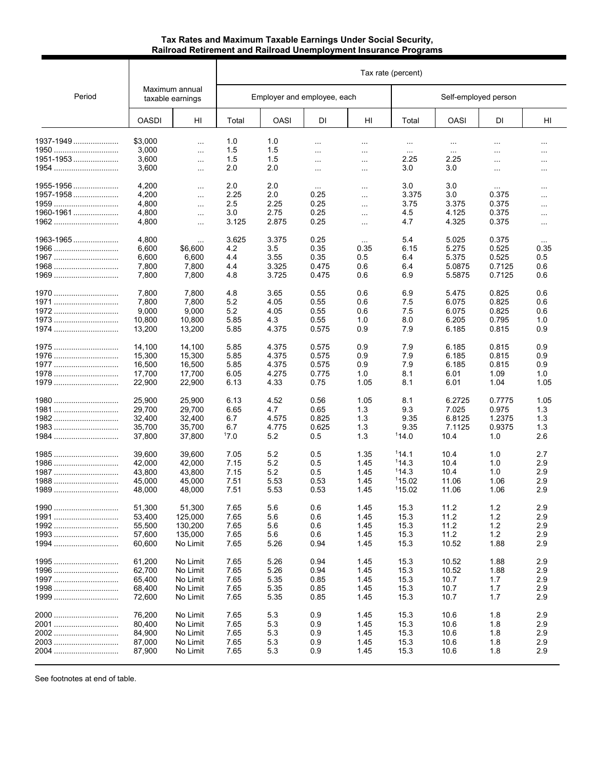# **Tax Rates and Maximum Taxable Earnings Under Social Security, Railroad Retirement and Railroad Unemployment Insurance Programs**

|           |              |                                    | Tax rate (percent) |             |                             |           |                      |          |           |               |  |
|-----------|--------------|------------------------------------|--------------------|-------------|-----------------------------|-----------|----------------------|----------|-----------|---------------|--|
| Period    |              | Maximum annual<br>taxable earnings |                    |             | Employer and employee, each |           | Self-employed person |          |           |               |  |
|           | <b>OASDI</b> | HI                                 | Total              | <b>OASI</b> | DI                          | HI        | Total                | OASI     | DI        | HI            |  |
| 1937-1949 | \$3,000      | $\cdots$                           | 1.0                | 1.0         | $\ddotsc$                   | $\ldots$  | $\cdots$             | $\cdots$ | $\cdots$  | $\ldots$      |  |
| 1950      | 3,000        | $\ldots$                           | 1.5                | 1.5         | $\ddotsc$                   | $\cdots$  | $\sim$               | $\sim$   | $\ddotsc$ | $\ldots$      |  |
| 1951-1953 | 3,600        | $\ldots$                           | 1.5                | 1.5         | $\cdots$                    | $\sim$    | 2.25                 | 2.25     | $\ldots$  | $\sim$ $\sim$ |  |
| 1954      | 3,600        | $\sim$                             | 2.0                | 2.0         | $\ldots$                    | $\ldots$  | 3.0                  | 3.0      | $\ldots$  | $\ldots$      |  |
| 1955-1956 | 4,200        | $\ddotsc$                          | 2.0                | 2.0         | $\sim$ $\sim$ $\sim$        | $\ldots$  | 3.0                  | 3.0      | $\sim$    | $\cdots$      |  |
| 1957-1958 | 4,200        | $\cdots$                           | 2.25               | 2.0         | 0.25                        | $\ddotsc$ | 3.375                | 3.0      | 0.375     | $\cdots$      |  |
| 1959      | 4,800        | $\cdots$                           | 2.5                | 2.25        | 0.25                        | $\cdots$  | 3.75                 | 3.375    | 0.375     | $\cdots$      |  |
| 1960-1961 | 4,800        | $\cdots$                           | 3.0                | 2.75        | 0.25                        | $\ddotsc$ | 4.5                  | 4.125    | 0.375     | $\cdots$      |  |
| 1962      | 4,800        | $\cdots$                           | 3.125              | 2.875       | 0.25                        | $\cdots$  | 4.7                  | 4.325    | 0.375     | $\ldots$      |  |
| 1963-1965 | 4,800        | $\cdots$                           | 3.625              | 3.375       | 0.25                        | $\sim$    | 5.4                  | 5.025    | 0.375     | $\cdots$      |  |
|           | 6,600        | \$6,600                            | 4.2                | 3.5         | 0.35                        | 0.35      | 6.15                 | 5.275    | 0.525     | 0.35          |  |
| 1967      | 6,600        | 6,600                              | 4.4                | 3.55        | 0.35                        | 0.5       | 6.4                  | 5.375    | 0.525     | 0.5           |  |
| 1968      | 7,800        | 7,800                              | 4.4                | 3.325       | 0.475                       | 0.6       | 6.4                  | 5.0875   | 0.7125    | 0.6           |  |
| 1969      | 7,800        | 7,800                              | 4.8                | 3.725       | 0.475                       | 0.6       | 6.9                  | 5.5875   | 0.7125    | 0.6           |  |
| 1970      | 7,800        | 7,800                              | 4.8                | 3.65        | 0.55                        | 0.6       | 6.9                  | 5.475    | 0.825     | 0.6           |  |
| 1971      | 7,800        | 7,800                              | 5.2                | 4.05        | 0.55                        | 0.6       | 7.5                  | 6.075    | 0.825     | 0.6           |  |
| 1972      | 9,000        | 9,000                              | 5.2                | 4.05        | 0.55                        | 0.6       | 7.5                  | 6.075    | 0.825     | 0.6           |  |
| 1973      | 10,800       | 10,800                             | 5.85               | 4.3         | 0.55                        | 1.0       | 8.0                  | 6.205    | 0.795     | 1.0           |  |
| 1974      | 13,200       | 13,200                             | 5.85               | 4.375       | 0.575                       | 0.9       | 7.9                  | 6.185    | 0.815     | 0.9           |  |
| 1975      | 14,100       | 14,100                             | 5.85               | 4.375       | 0.575                       | 0.9       | 7.9                  | 6.185    | 0.815     | 0.9           |  |
| 1976      | 15,300       | 15,300                             | 5.85               | 4.375       | 0.575                       | 0.9       | 7.9                  | 6.185    | 0.815     | 0.9           |  |
| 1977      | 16,500       | 16,500                             | 5.85               | 4.375       | 0.575                       | 0.9       | 7.9                  | 6.185    | 0.815     | 0.9           |  |
| 1978      | 17,700       | 17,700                             | 6.05               | 4.275       | 0.775                       | 1.0       | 8.1                  | 6.01     | 1.09      | 1.0           |  |
| 1979      | 22,900       | 22,900                             | 6.13               | 4.33        | 0.75                        | 1.05      | 8.1                  | 6.01     | 1.04      | 1.05          |  |
| 1980      | 25,900       | 25,900                             | 6.13               | 4.52        | 0.56                        | 1.05      | 8.1                  | 6.2725   | 0.7775    | 1.05          |  |
| 1981      | 29,700       | 29,700                             | 6.65               | 4.7         | 0.65                        | 1.3       | 9.3                  | 7.025    | 0.975     | 1.3           |  |
| 1982      | 32,400       | 32,400                             | 6.7                | 4.575       | 0.825                       | 1.3       | 9.35                 | 6.8125   | 1.2375    | 1.3           |  |
| 1983      | 35,700       | 35,700                             | 6.7                | 4.775       | 0.625                       | 1.3       | 9.35                 | 7.1125   | 0.9375    | 1.3           |  |
| 1984      | 37,800       | 37,800                             | 17.0               | 5.2         | 0.5                         | 1.3       | 114.0                | 10.4     | 1.0       | 2.6           |  |
| 1985      | 39,600       | 39,600                             | 7.05               | 5.2         | 0.5                         | 1.35      | 114.1                | 10.4     | 1.0       | 2.7           |  |
| 1986      | 42,000       | 42,000                             | 7.15               | 5.2         | 0.5                         | 1.45      | 114.3                | 10.4     | 1.0       | 2.9           |  |
| 1987      | 43,800       | 43,800                             | 7.15               | 5.2         | 0.5                         | 1.45      | 114.3                | 10.4     | 1.0       | 2.9           |  |
| 1988      | 45,000       | 45,000                             | 7.51               | 5.53        | 0.53                        | 1.45      | 115.02               | 11.06    | 1.06      | 2.9           |  |
| 1989      | 48,000       | 48,000                             | 7.51               | 5.53        | 0.53                        | 1.45      | 115.02               | 11.06    | 1.06      | 2.9           |  |
| 1990      | 51,300       | 51,300                             | 7.65               | 5.6         | 0.6                         | 1.45      | 15.3                 | 11.2     | $1.2$     | 2.9           |  |
| 1991      | 53,400       | 125,000                            | 7.65               | 5.6         | 0.6                         | 1.45      | 15.3                 | 11.2     | 1.2       | 2.9           |  |
| 1992      | 55,500       | 130,200                            | 7.65               | 5.6         | 0.6                         | 1.45      | 15.3                 | 11.2     | 1.2       | 2.9           |  |
| $1993$    | 57,600       | 135,000                            | 7.65               | 5.6         | 0.6                         | 1.45      | 15.3                 | 11.2     | 1.2       | 2.9           |  |
| 1994      | 60,600       | No Limit                           | 7.65               | 5.26        | 0.94                        | 1.45      | 15.3                 | 10.52    | 1.88      | 2.9           |  |
| 1995      | 61,200       | No Limit                           | 7.65               | 5.26        | 0.94                        | 1.45      | 15.3                 | 10.52    | 1.88      | 2.9           |  |
| 1996      | 62,700       | No Limit                           | 7.65               | 5.26        | 0.94                        | 1.45      | 15.3                 | 10.52    | 1.88      | 2.9           |  |
| 1997      | 65,400       | No Limit                           | 7.65               | 5.35        | 0.85                        | 1.45      | 15.3                 | 10.7     | 1.7       | 2.9           |  |
| 1998      | 68,400       | No Limit                           | 7.65               | 5.35        | 0.85                        | 1.45      | 15.3                 | 10.7     | 1.7       | 2.9           |  |
| 1999      | 72,600       | No Limit                           | 7.65               | 5.35        | 0.85                        | 1.45      | 15.3                 | 10.7     | 1.7       | 2.9           |  |
| 2000      | 76,200       | No Limit                           | 7.65               | 5.3         | 0.9                         | 1.45      | 15.3                 | 10.6     | 1.8       | 2.9           |  |
| 2001      | 80,400       | No Limit                           | 7.65               | 5.3         | 0.9                         | 1.45      | 15.3                 | 10.6     | 1.8       | 2.9           |  |
| 2002      | 84,900       | No Limit                           | 7.65               | 5.3         | 0.9                         | 1.45      | 15.3                 | 10.6     | 1.8       | 2.9           |  |
| 2003      | 87,000       | No Limit                           | 7.65               | 5.3         | 0.9                         | 1.45      | 15.3                 | 10.6     | 1.8       | 2.9           |  |
| 2004      | 87,900       | No Limit                           | 7.65               | 5.3         | 0.9                         | 1.45      | 15.3                 | 10.6     | 1.8       | 2.9           |  |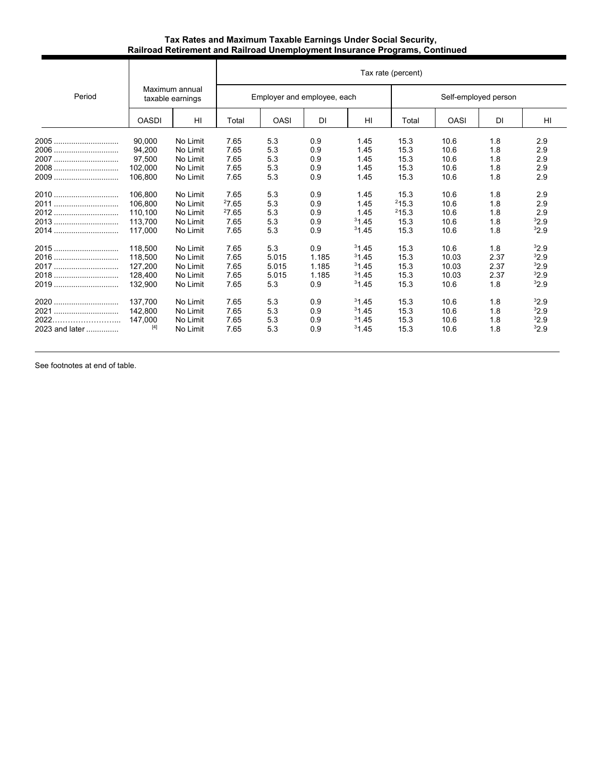## **Tax Rates and Maximum Taxable Earnings Under Social Security, Railroad Retirement and Railroad Unemployment Insurance Programs, Continued**

|                |                                    |          |       | Tax rate (percent)          |       |       |                      |             |      |      |  |  |
|----------------|------------------------------------|----------|-------|-----------------------------|-------|-------|----------------------|-------------|------|------|--|--|
| Period         | Maximum annual<br>taxable earnings |          |       | Employer and employee, each |       |       | Self-employed person |             |      |      |  |  |
|                | <b>OASDI</b>                       | HI       | Total | <b>OASI</b>                 | DI    | HI    | Total                | <b>OASI</b> | DI   | HI   |  |  |
| $2005$         | 90.000                             | No Limit | 7.65  | 5.3                         | 0.9   | 1.45  | 15.3                 | 10.6        | 1.8  | 2.9  |  |  |
| 2006           | 94.200                             | No Limit | 7.65  | 5.3                         | 0.9   | 1.45  | 15.3                 | 10.6        | 1.8  | 2.9  |  |  |
| 2007           | 97.500                             | No Limit | 7.65  | 5.3                         | 0.9   | 1.45  | 15.3                 | 10.6        | 1.8  | 2.9  |  |  |
| 2008           | 102,000                            | No Limit | 7.65  | 5.3                         | 0.9   | 1.45  | 15.3                 | 10.6        | 1.8  | 2.9  |  |  |
| 2009           | 106,800                            | No Limit | 7.65  | 5.3                         | 0.9   | 1.45  | 15.3                 | 10.6        | 1.8  | 2.9  |  |  |
| 2010           | 106.800                            | No Limit | 7.65  | 5.3                         | 0.9   | 1.45  | 15.3                 | 10.6        | 1.8  | 2.9  |  |  |
| 2011           | 106.800                            | No Limit | 27.65 | 5.3                         | 0.9   | 1.45  | 215.3                | 10.6        | 1.8  | 2.9  |  |  |
|                | 110,100                            | No Limit | 27.65 | 5.3                         | 0.9   | 1.45  | 215.3                | 10.6        | 1.8  | 2.9  |  |  |
| 2013           | 113.700                            | No Limit | 7.65  | 5.3                         | 0.9   | 31.45 | 15.3                 | 10.6        | 1.8  | 32.9 |  |  |
| 2014           | 117,000                            | No Limit | 7.65  | 5.3                         | 0.9   | 31.45 | 15.3                 | 10.6        | 1.8  | 32.9 |  |  |
| 2015           | 118.500                            | No Limit | 7.65  | 5.3                         | 0.9   | 31.45 | 15.3                 | 10.6        | 1.8  | 32.9 |  |  |
| 2016           | 118.500                            | No Limit | 7.65  | 5.015                       | 1.185 | 31.45 | 15.3                 | 10.03       | 2.37 | 32.9 |  |  |
| 2017           | 127,200                            | No Limit | 7.65  | 5.015                       | 1.185 | 31.45 | 15.3                 | 10.03       | 2.37 | 32.9 |  |  |
| 2018           | 128,400                            | No Limit | 7.65  | 5.015                       | 1.185 | 31.45 | 15.3                 | 10.03       | 2.37 | 32.9 |  |  |
| 2019           | 132,900                            | No Limit | 7.65  | 5.3                         | 0.9   | 31.45 | 15.3                 | 10.6        | 1.8  | 32.9 |  |  |
|                | 137.700                            | No Limit | 7.65  | 5.3                         | 0.9   | 31.45 | 15.3                 | 10.6        | 1.8  | 32.9 |  |  |
| 2021           | 142.800                            | No Limit | 7.65  | 5.3                         | 0.9   | 31.45 | 15.3                 | 10.6        | 1.8  | 32.9 |  |  |
| 2022.          | 147,000                            | No Limit | 7.65  | 5.3                         | 0.9   | 31.45 | 15.3                 | 10.6        | 1.8  | 32.9 |  |  |
| 2023 and later | $[4]$                              | No Limit | 7.65  | 5.3                         | 0.9   | 31.45 | 15.3                 | 10.6        | 1.8  | 32.9 |  |  |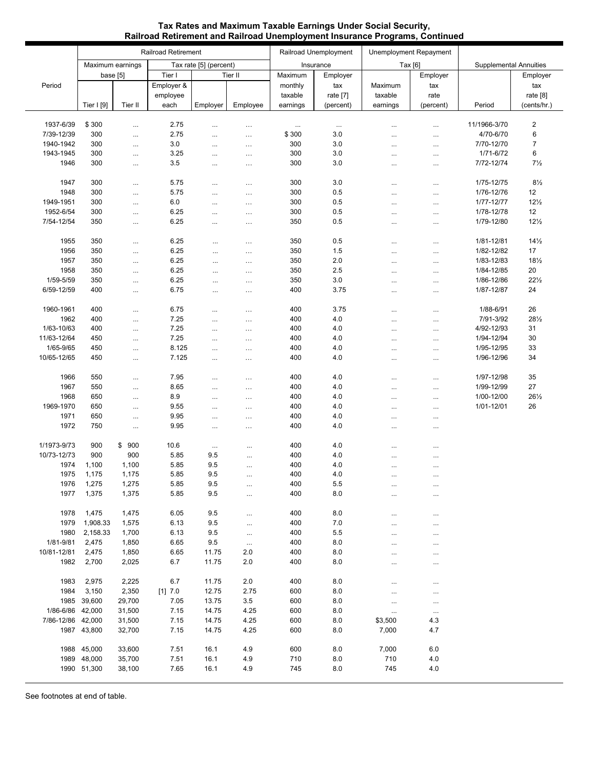|                   | <b>Railroad Retirement</b>                 |                |                   |            |           |            | Railroad Unemployment | Unemployment Repayment        |           |                          |                       |
|-------------------|--------------------------------------------|----------------|-------------------|------------|-----------|------------|-----------------------|-------------------------------|-----------|--------------------------|-----------------------|
|                   | Maximum earnings<br>Tax rate [5] (percent) |                |                   | Insurance  |           | Tax $[6]$  |                       | <b>Supplemental Annuities</b> |           |                          |                       |
|                   | base [5]                                   |                | Tier I<br>Tier II |            |           | Maximum    | Employer              |                               | Employer  |                          | Employer              |
| Period            |                                            |                | Employer &        |            |           | monthly    | tax                   | Maximum                       | tax       |                          | tax                   |
|                   |                                            |                | employee          |            |           | taxable    | rate [7]              | taxable                       | rate      |                          | rate [8]              |
|                   | Tier I [9]                                 | Tier II        | each              | Employer   | Employee  | earnings   | (percent)             | earnings                      | (percent) | Period                   | (cents/hr.)           |
|                   |                                            |                |                   |            |           |            |                       |                               |           |                          |                       |
| 1937-6/39         | \$300                                      | $\cdots$       | 2.75              | $\cdots$   | $\cdots$  | $\ldots$   | $\cdots$              | $\cdots$                      | $\cdots$  | 11/1966-3/70             | $\mathbf 2$           |
| 7/39-12/39        | 300                                        | $\cdots$       | 2.75              | $\cdots$   | $\cdots$  | \$300      | 3.0                   | $\cdots$                      |           | 4/70-6/70                | 6                     |
| 1940-1942         | 300                                        | $\cdots$       | 3.0               | $\cdots$   | $\ldots$  | 300        | 3.0                   |                               | $\cdots$  | 7/70-12/70               | $\overline{7}$        |
| 1943-1945         | 300                                        | $\cdots$       | 3.25              | $\cdots$   | $\cdots$  | 300        | 3.0                   |                               | $\cdots$  | 1/71-6/72                | 6                     |
| 1946              | 300                                        | $\cdots$       | 3.5               | $\cdots$   | $\cdots$  | 300        | 3.0                   |                               | $\cdots$  | 7/72-12/74               | $7\frac{1}{2}$        |
|                   |                                            |                |                   |            |           |            | 3.0                   |                               |           |                          | $8\frac{1}{2}$        |
| 1947              | 300<br>300                                 | $\cdots$       | 5.75              | $\ddots$   | $\cdots$  | 300        |                       | $\cdots$                      | $\cdots$  | 1/75-12/75               |                       |
| 1948<br>1949-1951 | 300                                        | $\cdots$       | 5.75<br>$6.0\,$   | $\cdots$   | $\cdots$  | 300<br>300 | $0.5\,$<br>0.5        | $\cdots$                      | $\cdots$  | 1/76-12/76               | 12<br>$12\frac{1}{2}$ |
| 1952-6/54         | 300                                        | $\cdots$       | 6.25              | $\cdots$   | $\cdots$  | 300        | 0.5                   |                               | $\cdots$  | 1/77-12/77<br>1/78-12/78 | 12                    |
| 7/54-12/54        | 350                                        | $\cdots$       | 6.25              | $\cdots$   | $\cdots$  | 350        | 0.5                   | $\cdots$                      | $\cdots$  | 1/79-12/80               | $12\frac{1}{2}$       |
|                   |                                            | $\cdots$       |                   | $\cdots$   | $\cdots$  |            |                       | $\cdots$                      | $\cdots$  |                          |                       |
| 1955              | 350                                        | $\cdots$       | 6.25              | $\cdots$   | .         | 350        | 0.5                   |                               | $\cdots$  | 1/81-12/81               | $14\frac{1}{2}$       |
| 1956              | 350                                        | $\cdots$       | 6.25              | $\cdots$   | $\cdots$  | 350        | 1.5                   | <br>                          | $\cdots$  | 1/82-12/82               | 17                    |
| 1957              | 350                                        | $\cdots$       | 6.25              | $\ldots$   | $\cdots$  | 350        | 2.0                   |                               | $\cdots$  | 1/83-12/83               | $18\frac{1}{2}$       |
| 1958              | 350                                        | $\cdots$       | 6.25              | $\cdots$   | $\cdots$  | 350        | 2.5                   | $\cdots$                      | $\cdots$  | 1/84-12/85               | $20\,$                |
| 1/59-5/59         | 350                                        | $\cdots$       | 6.25              | $\cdots$   | $\cdots$  | 350        | 3.0                   | $\cdots$                      | $\cdots$  | 1/86-12/86               | $22\frac{1}{2}$       |
| 6/59-12/59        | 400                                        | $\cdots$       | 6.75              | $\cdots$   | $\cdots$  | 400        | 3.75                  |                               | $\cdots$  | 1/87-12/87               | 24                    |
|                   |                                            |                |                   |            |           |            |                       |                               |           |                          |                       |
| 1960-1961         | 400                                        |                | 6.75              |            |           | 400        | 3.75                  |                               | $\cdots$  | 1/88-6/91                | 26                    |
| 1962              | 400                                        | $\cdots$       | 7.25              | $\cdots$   | $\cdots$  | 400        | 4.0                   |                               | $\cdots$  | 7/91-3/92                | $28\frac{1}{2}$       |
| 1/63-10/63        | 400                                        | $\cdots$       | 7.25              | $\cdots$   | $\cdots$  | 400        | 4.0                   | $\cdots$                      | $\cdots$  | 4/92-12/93               | 31                    |
| 11/63-12/64       | 450                                        | $\ldots$       | 7.25              | $\cdots$   | $\cdots$  | 400        | 4.0                   |                               |           | 1/94-12/94               | 30                    |
| 1/65-9/65         | 450                                        | $\cdots$       | 8.125             | $\cdots$   | $\cdots$  | 400        | 4.0                   |                               | $\cdots$  | 1/95-12/95               | 33                    |
| 10/65-12/65       | 450                                        | $\cdots$       | 7.125             | $\ddots$   | $\cdots$  | 400        | 4.0                   | $\cdots$                      | $\cdots$  | 1/96-12/96               | 34                    |
|                   |                                            |                |                   |            |           |            |                       |                               |           |                          |                       |
| 1966              | 550                                        | $\cdots$       | 7.95              | $\cdots$   | $\cdots$  | 400        | 4.0                   |                               | $\cdots$  | 1/97-12/98               | 35                    |
| 1967              | 550                                        | $\ldots$       | 8.65              | $\cdots$   | $\cdots$  | 400        | 4.0                   |                               | $\cdots$  | 1/99-12/99               | 27                    |
| 1968              | 650                                        | $\ldots$       | 8.9               |            | $\cdots$  | 400        | 4.0                   |                               |           | 1/00-12/00               | 261/2                 |
| 1969-1970         | 650                                        | $\ldots$       | 9.55              | $\cdots$   | $\cdots$  | 400        | 4.0                   |                               | $\cdots$  | 1/01-12/01               | 26                    |
| 1971              | 650                                        | $\cdots$       | 9.95              | $\cdots$   | $\cdots$  | 400        | 4.0                   | $\cdots$                      | $\cdots$  |                          |                       |
| 1972              | 750                                        | $\ldots$       | 9.95              | $\cdots$   | $\cdots$  | 400        | 4.0                   |                               | $\cdots$  |                          |                       |
|                   |                                            |                |                   |            |           |            |                       |                               |           |                          |                       |
| 1/1973-9/73       | 900                                        | \$900          | 10.6              | $\cdots$   | $\cdots$  | 400        | 4.0                   |                               | $\cdots$  |                          |                       |
| 10/73-12/73       | 900                                        | 900            | 5.85              | 9.5        | $\cdots$  | 400        | 4.0                   |                               | $\cdots$  |                          |                       |
| 1974              | 1,100                                      | 1,100          | 5.85              | 9.5        | $\cdots$  | 400        | 4.0                   |                               | $\cdots$  |                          |                       |
| 1975              | 1,175                                      | 1,175          | 5.85              | 9.5        | $\cdots$  | 400        | 4.0                   | $\cdots$                      | $\cdots$  |                          |                       |
| 1976<br>1977      | 1,275<br>1,375                             | 1,275<br>1,375 | 5.85<br>5.85      | 9.5<br>9.5 | $\ldots$  | 400<br>400 | 5.5<br>8.0            | $\cdots$                      | $\cdots$  |                          |                       |
|                   |                                            |                |                   |            | $\cdots$  |            |                       |                               | $\cdots$  |                          |                       |
| 1978              | 1,475                                      | 1,475          | 6.05              | 9.5        | $\cdots$  | 400        | 8.0                   |                               | $\cdots$  |                          |                       |
| 1979              | 1,908.33                                   | 1,575          | 6.13              | 9.5        | $\cdots$  | 400        | 7.0                   |                               | $\cdots$  |                          |                       |
| 1980              | 2,158.33                                   | 1,700          | 6.13              | 9.5        | $\cdots$  | 400        | $5.5\,$               |                               | $\cdots$  |                          |                       |
| 1/81-9/81         | 2,475                                      | 1,850          | 6.65              | 9.5        | $\ddotsc$ | 400        | 8.0                   |                               | $\cdots$  |                          |                       |
| 10/81-12/81       | 2,475                                      | 1,850          | 6.65              | 11.75      | 2.0       | 400        | 8.0                   |                               | $\cdots$  |                          |                       |
| 1982              | 2,700                                      | 2,025          | 6.7               | 11.75      | 2.0       | 400        | 8.0                   |                               | $\cdots$  |                          |                       |
|                   |                                            |                |                   |            |           |            |                       |                               |           |                          |                       |
| 1983              | 2,975                                      | 2,225          | 6.7               | 11.75      | 2.0       | 400        | 8.0                   |                               | $\cdots$  |                          |                       |
| 1984              | 3,150                                      | 2,350          | [1] 7.0           | 12.75      | 2.75      | 600        | 8.0                   | $\cdots$                      | $\cdots$  |                          |                       |
| 1985              | 39,600                                     | 29,700         | 7.05              | 13.75      | 3.5       | 600        | 8.0                   |                               | $\cdots$  |                          |                       |
| 1/86-6/86         | 42,000                                     | 31,500         | 7.15              | 14.75      | 4.25      | 600        | 8.0                   | $\cdots$                      | $\cdots$  |                          |                       |
| 7/86-12/86 42,000 |                                            | 31,500         | 7.15              | 14.75      | 4.25      | 600        | 8.0                   | \$3,500                       | 4.3       |                          |                       |
|                   | 1987 43,800                                | 32,700         | 7.15              | 14.75      | 4.25      | 600        | 8.0                   | 7,000                         | 4.7       |                          |                       |
|                   |                                            |                |                   |            |           |            |                       |                               |           |                          |                       |
|                   | 1988 45,000                                | 33,600         | 7.51              | 16.1       | 4.9       | 600        | 8.0                   | 7,000                         | $6.0\,$   |                          |                       |
| 1989              | 48,000                                     | 35,700         | 7.51              | 16.1       | 4.9       | 710        | 8.0                   | 710                           | 4.0       |                          |                       |
|                   | 1990 51,300                                | 38,100         | 7.65              | 16.1       | 4.9       | 745        | 8.0                   | 745                           | 4.0       |                          |                       |
|                   |                                            |                |                   |            |           |            |                       |                               |           |                          |                       |

## **Tax Rates and Maximum Taxable Earnings Under Social Security, Railroad Retirement and Railroad Unemployment Insurance Programs, Continued**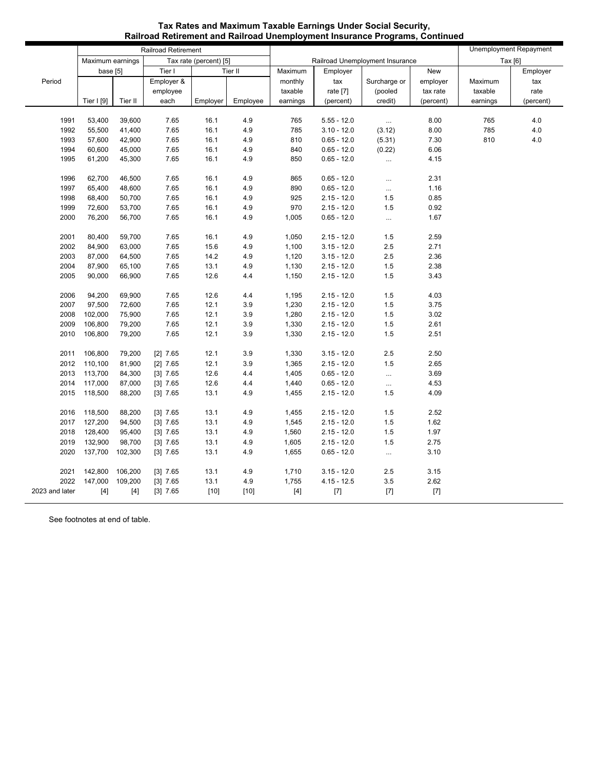|                |                  |                  | Railroad Retirement    |              |            |            |                                 | Unemployment Repayment |              |          |           |
|----------------|------------------|------------------|------------------------|--------------|------------|------------|---------------------------------|------------------------|--------------|----------|-----------|
|                | Maximum earnings |                  | Tax rate (percent) [5] |              |            |            | Railroad Unemployment Insurance | Tax [6]                |              |          |           |
|                | base [5]         |                  | Tier I<br>Tier II      |              |            | Maximum    | Employer                        |                        | New          |          | Employer  |
| Period         |                  |                  | Employer &             |              |            | monthly    | tax                             | Surcharge or           | employer     | Maximum  | tax       |
|                |                  |                  | employee               |              |            | taxable    | rate [7]                        | (pooled                | tax rate     | taxable  | rate      |
|                | Tier $ 9 $       | Tier II          | each                   | Employer     | Employee   | earnings   | (percent)                       | credit)                | (percent)    | earnings | (percent) |
|                |                  |                  |                        |              |            |            |                                 |                        |              |          |           |
| 1991           | 53,400           | 39,600           | 7.65                   | 16.1         | 4.9        | 765        | $5.55 - 12.0$                   | $\cdots$               | 8.00         | 765      | 4.0       |
| 1992           | 55,500           | 41,400           | 7.65                   | 16.1         | 4.9        | 785        | $3.10 - 12.0$                   | (3.12)                 | 8.00         | 785      | 4.0       |
| 1993           | 57,600           | 42,900           | 7.65                   | 16.1         | 4.9        | 810        | $0.65 - 12.0$                   | (5.31)                 | 7.30         | 810      | $4.0\,$   |
| 1994<br>1995   | 60,600<br>61,200 | 45,000<br>45,300 | 7.65<br>7.65           | 16.1<br>16.1 | 4.9<br>4.9 | 840<br>850 | $0.65 - 12.0$                   | (0.22)                 | 6.06<br>4.15 |          |           |
|                |                  |                  |                        |              |            |            | $0.65 - 12.0$                   | $\cdots$               |              |          |           |
| 1996           | 62,700           | 46,500           | 7.65                   | 16.1         | 4.9        | 865        | $0.65 - 12.0$                   | $\cdots$               | 2.31         |          |           |
| 1997           | 65,400           | 48,600           | 7.65                   | 16.1         | 4.9        | 890        | $0.65 - 12.0$                   | $\cdots$               | 1.16         |          |           |
| 1998           | 68,400           | 50,700           | 7.65                   | 16.1         | 4.9        | 925        | $2.15 - 12.0$                   | 1.5                    | 0.85         |          |           |
| 1999           | 72,600           | 53,700           | 7.65                   | 16.1         | 4.9        | 970        | $2.15 - 12.0$                   | 1.5                    | 0.92         |          |           |
| 2000           | 76,200           | 56,700           | 7.65                   | 16.1         | 4.9        | 1,005      | $0.65 - 12.0$                   | $\cdots$               | 1.67         |          |           |
|                |                  |                  |                        |              |            |            |                                 |                        |              |          |           |
| 2001           | 80,400           | 59,700           | 7.65                   | 16.1         | 4.9        | 1,050      | $2.15 - 12.0$                   | 1.5                    | 2.59         |          |           |
| 2002           | 84,900           | 63,000           | 7.65                   | 15.6         | 4.9        | 1,100      | $3.15 - 12.0$                   | 2.5                    | 2.71         |          |           |
| 2003           | 87,000           | 64,500           | 7.65                   | 14.2         | 4.9        | 1,120      | $3.15 - 12.0$                   | 2.5                    | 2.36         |          |           |
| 2004           | 87,900           | 65,100           | 7.65                   | 13.1         | 4.9        | 1,130      | $2.15 - 12.0$                   | 1.5                    | 2.38         |          |           |
| 2005           | 90,000           | 66,900           | 7.65                   | 12.6         | 4.4        | 1,150      | $2.15 - 12.0$                   | 1.5                    | 3.43         |          |           |
|                |                  |                  |                        |              |            |            |                                 |                        |              |          |           |
| 2006           | 94,200           | 69,900           | 7.65                   | 12.6         | 4.4        | 1,195      | $2.15 - 12.0$                   | 1.5                    | 4.03         |          |           |
| 2007           | 97,500           | 72,600           | 7.65                   | 12.1         | 3.9        | 1,230      | $2.15 - 12.0$                   | 1.5                    | 3.75         |          |           |
| 2008           | 102,000          | 75,900           | 7.65                   | 12.1         | 3.9        | 1,280      | $2.15 - 12.0$                   | 1.5                    | 3.02         |          |           |
| 2009           | 106,800          | 79,200           | 7.65                   | 12.1         | 3.9        | 1,330      | $2.15 - 12.0$                   | 1.5                    | 2.61         |          |           |
| 2010           | 106,800          | 79,200           | 7.65                   | 12.1         | 3.9        | 1,330      | $2.15 - 12.0$                   | 1.5                    | 2.51         |          |           |
| 2011           | 106,800          | 79,200           | $[2]$ 7.65             | 12.1         | 3.9        | 1,330      | $3.15 - 12.0$                   | $2.5\,$                | 2.50         |          |           |
| 2012           | 110,100          | 81,900           | $[2]$ 7.65             | 12.1         | 3.9        | 1,365      | $2.15 - 12.0$                   | 1.5                    | 2.65         |          |           |
| 2013           | 113,700          | 84,300           | $[3]$ 7.65             | 12.6         | 4.4        | 1,405      | $0.65 - 12.0$                   | $\ddotsc$              | 3.69         |          |           |
| 2014           | 117,000          | 87,000           | $[3]$ 7.65             | 12.6         | 4.4        | 1,440      | $0.65 - 12.0$                   | $\cdots$               | 4.53         |          |           |
| 2015           | 118,500          | 88,200           | $[3]$ 7.65             | 13.1         | 4.9        | 1,455      | $2.15 - 12.0$                   | 1.5                    | 4.09         |          |           |
|                |                  |                  |                        |              |            |            |                                 |                        |              |          |           |
| 2016           | 118,500          | 88,200           | $[3]$ 7.65             | 13.1         | 4.9        | 1,455      | $2.15 - 12.0$                   | 1.5                    | 2.52         |          |           |
| 2017           | 127,200          | 94,500           | $[3]$ 7.65             | 13.1         | 4.9        | 1,545      | $2.15 - 12.0$                   | 1.5                    | 1.62         |          |           |
| 2018           | 128,400          | 95,400           | $[3]$ 7.65             | 13.1         | 4.9        | 1,560      | $2.15 - 12.0$                   | 1.5                    | 1.97         |          |           |
| 2019           | 132,900          | 98,700           | $[3]$ 7.65             | 13.1         | 4.9        | 1,605      | $2.15 - 12.0$                   | 1.5                    | 2.75         |          |           |
| 2020           | 137,700          | 102,300          | $[3]$ 7.65             | 13.1         | 4.9        | 1,655      | $0.65 - 12.0$                   | $\cdots$               | 3.10         |          |           |
|                |                  |                  |                        |              |            |            |                                 |                        |              |          |           |
| 2021           | 142,800          | 106,200          | $[3]$ 7.65             | 13.1         | 4.9        | 1,710      | $3.15 - 12.0$                   | 2.5                    | 3.15         |          |           |
| 2022           | 147,000          | 109,200          | $[3]$ 7.65             | 13.1         | 4.9        | 1,755      | $4.15 - 12.5$                   | 3.5                    | 2.62         |          |           |
| 2023 and later | $[4]$            | $[4]$            | $[3]$ 7.65             | $[10]$       | $[10]$     | $[4]$      | $[7]$                           | $[7]$                  | $[7]$        |          |           |

#### **Tax Rates and Maximum Taxable Earnings Under Social Security, Railroad Retirement and Railroad Unemployment Insurance Programs, Continued**